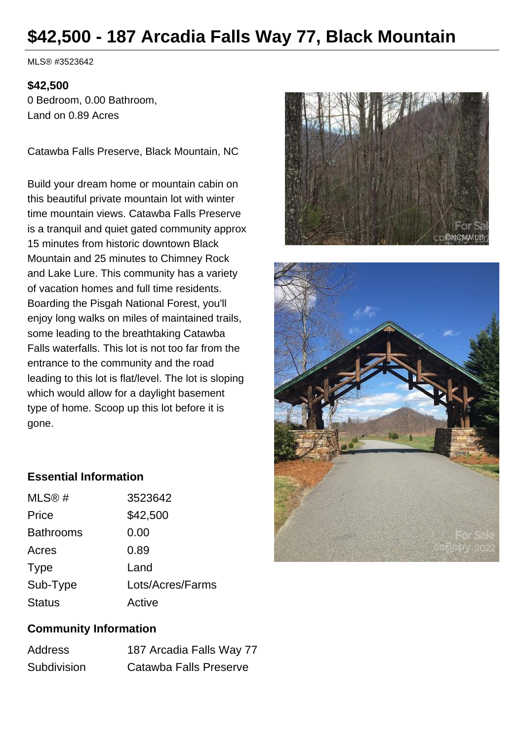## **\$42,500 - 187 Arcadia Falls Way 77, Black Mountain**

MLS® #3523642

#### **\$42,500**

0 Bedroom, 0.00 Bathroom, Land on 0.89 Acres

Catawba Falls Preserve, Black Mountain, NC

Build your dream home or mountain cabin on this beautiful private mountain lot with winter time mountain views. Catawba Falls Preserve is a tranquil and quiet gated community approx 15 minutes from historic downtown Black Mountain and 25 minutes to Chimney Rock and Lake Lure. This community has a variety of vacation homes and full time residents. Boarding the Pisgah National Forest, you'll enjoy long walks on miles of maintained trails, some leading to the breathtaking Catawba Falls waterfalls. This lot is not too far from the entrance to the community and the road leading to this lot is flat/level. The lot is sloping which would allow for a daylight basement type of home. Scoop up this lot before it is gone.





#### **Essential Information**

| MLS@#            | 3523642          |
|------------------|------------------|
| Price            | \$42,500         |
| <b>Bathrooms</b> | 0.00             |
| Acres            | 0.89             |
| <b>Type</b>      | Land             |
| Sub-Type         | Lots/Acres/Farms |
| <b>Status</b>    | Active           |

#### **Community Information**

| <b>Address</b> | 187 Arcadia Falls Way 77 |
|----------------|--------------------------|
| Subdivision    | Catawba Falls Preserve   |